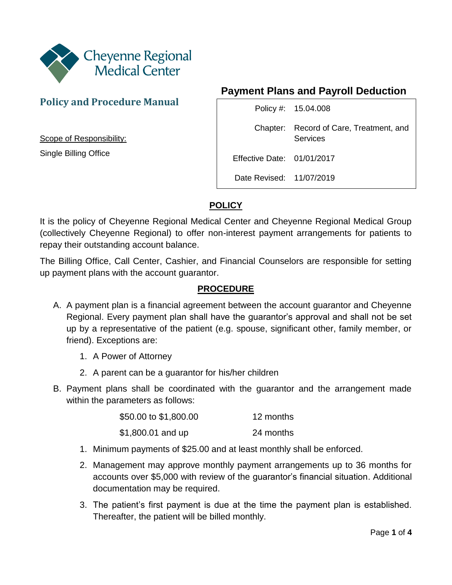

# **Policy and Procedure Manual**

Scope of Responsibility:

Single Billing Office

## **Payment Plans and Payroll Deduction**

|                            | Policy #: 15.04.008                                 |
|----------------------------|-----------------------------------------------------|
|                            | Chapter: Record of Care, Treatment, and<br>Services |
| Effective Date: 01/01/2017 |                                                     |
| Date Revised: 11/07/2019   |                                                     |

## **POLICY**

It is the policy of Cheyenne Regional Medical Center and Cheyenne Regional Medical Group (collectively Cheyenne Regional) to offer non-interest payment arrangements for patients to repay their outstanding account balance.

The Billing Office, Call Center, Cashier, and Financial Counselors are responsible for setting up payment plans with the account guarantor.

#### **PROCEDURE**

- A. A payment plan is a financial agreement between the account guarantor and Cheyenne Regional. Every payment plan shall have the guarantor's approval and shall not be set up by a representative of the patient (e.g. spouse, significant other, family member, or friend). Exceptions are:
	- 1. A Power of Attorney
	- 2. A parent can be a guarantor for his/her children
- B. Payment plans shall be coordinated with the guarantor and the arrangement made within the parameters as follows:

| \$50.00 to \$1,800.00 | 12 months |
|-----------------------|-----------|
| \$1,800.01 and up     | 24 months |

- 1. Minimum payments of \$25.00 and at least monthly shall be enforced.
- 2. Management may approve monthly payment arrangements up to 36 months for accounts over \$5,000 with review of the guarantor's financial situation. Additional documentation may be required.
- 3. The patient's first payment is due at the time the payment plan is established. Thereafter, the patient will be billed monthly.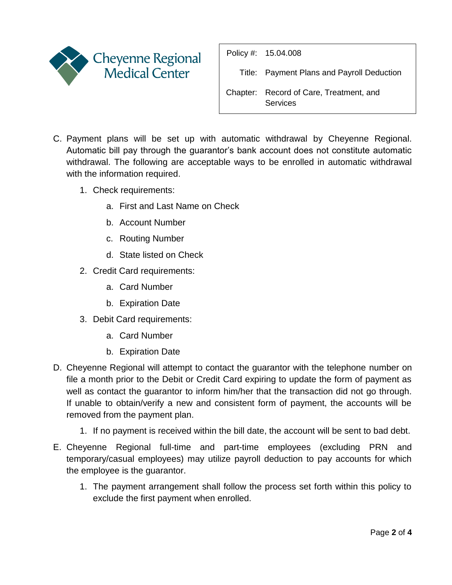

| Policy #: 15.04.008                                 |
|-----------------------------------------------------|
| Title: Payment Plans and Payroll Deduction          |
| Chapter: Record of Care, Treatment, and<br>Services |

- C. Payment plans will be set up with automatic withdrawal by Cheyenne Regional. Automatic bill pay through the guarantor's bank account does not constitute automatic withdrawal. The following are acceptable ways to be enrolled in automatic withdrawal with the information required.
	- 1. Check requirements:
		- a. First and Last Name on Check
		- b. Account Number
		- c. Routing Number
		- d. State listed on Check
	- 2. Credit Card requirements:
		- a. Card Number
		- b. Expiration Date
	- 3. Debit Card requirements:
		- a. Card Number
		- b. Expiration Date
- D. Cheyenne Regional will attempt to contact the guarantor with the telephone number on file a month prior to the Debit or Credit Card expiring to update the form of payment as well as contact the guarantor to inform him/her that the transaction did not go through. If unable to obtain/verify a new and consistent form of payment, the accounts will be removed from the payment plan.
	- 1. If no payment is received within the bill date, the account will be sent to bad debt.
- E. Cheyenne Regional full-time and part-time employees (excluding PRN and temporary/casual employees) may utilize payroll deduction to pay accounts for which the employee is the guarantor.
	- 1. The payment arrangement shall follow the process set forth within this policy to exclude the first payment when enrolled.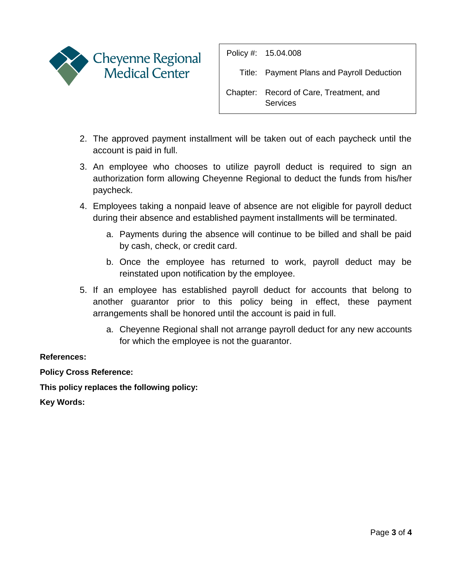

Policy #: 15.04.008

Title: Payment Plans and Payroll Deduction

Chapter: Record of Care, Treatment, and **Services** 

- 2. The approved payment installment will be taken out of each paycheck until the account is paid in full.
- 3. An employee who chooses to utilize payroll deduct is required to sign an authorization form allowing Cheyenne Regional to deduct the funds from his/her paycheck.
- 4. Employees taking a nonpaid leave of absence are not eligible for payroll deduct during their absence and established payment installments will be terminated.
	- a. Payments during the absence will continue to be billed and shall be paid by cash, check, or credit card.
	- b. Once the employee has returned to work, payroll deduct may be reinstated upon notification by the employee.
- 5. If an employee has established payroll deduct for accounts that belong to another guarantor prior to this policy being in effect, these payment arrangements shall be honored until the account is paid in full.
	- a. Cheyenne Regional shall not arrange payroll deduct for any new accounts for which the employee is not the guarantor.

### **References:**

**Policy Cross Reference:**

**This policy replaces the following policy:** 

**Key Words:**